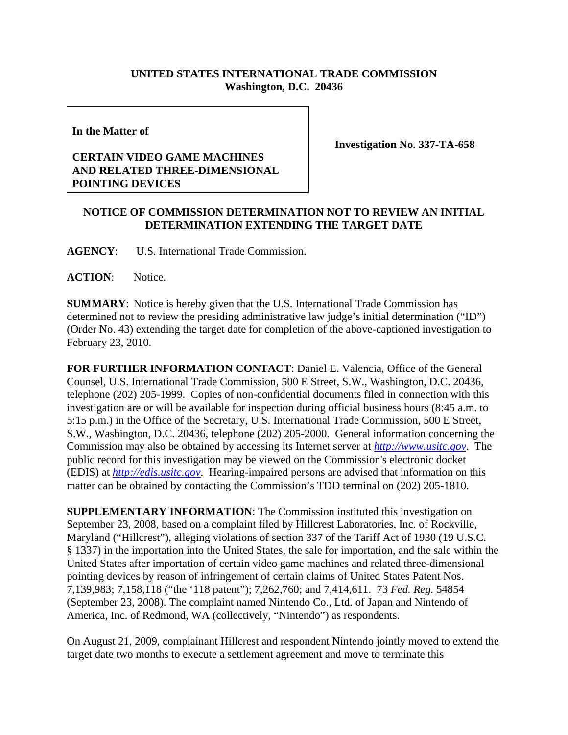## **UNITED STATES INTERNATIONAL TRADE COMMISSION Washington, D.C. 20436**

**In the Matter of** 

## **CERTAIN VIDEO GAME MACHINES AND RELATED THREE-DIMENSIONAL POINTING DEVICES**

**Investigation No. 337-TA-658**

## **NOTICE OF COMMISSION DETERMINATION NOT TO REVIEW AN INITIAL DETERMINATION EXTENDING THE TARGET DATE**

**AGENCY**: U.S. International Trade Commission.

**ACTION**: Notice.

**SUMMARY**: Notice is hereby given that the U.S. International Trade Commission has determined not to review the presiding administrative law judge's initial determination ("ID") (Order No. 43) extending the target date for completion of the above-captioned investigation to February 23, 2010.

**FOR FURTHER INFORMATION CONTACT**: Daniel E. Valencia, Office of the General Counsel, U.S. International Trade Commission, 500 E Street, S.W., Washington, D.C. 20436, telephone (202) 205-1999. Copies of non-confidential documents filed in connection with this investigation are or will be available for inspection during official business hours (8:45 a.m. to 5:15 p.m.) in the Office of the Secretary, U.S. International Trade Commission, 500 E Street, S.W., Washington, D.C. 20436, telephone (202) 205-2000. General information concerning the Commission may also be obtained by accessing its Internet server at *http://www.usitc.gov*. The public record for this investigation may be viewed on the Commission's electronic docket (EDIS) at *http://edis.usitc.gov*. Hearing-impaired persons are advised that information on this matter can be obtained by contacting the Commission's TDD terminal on (202) 205-1810.

**SUPPLEMENTARY INFORMATION**: The Commission instituted this investigation on September 23, 2008, based on a complaint filed by Hillcrest Laboratories, Inc. of Rockville, Maryland ("Hillcrest"), alleging violations of section 337 of the Tariff Act of 1930 (19 U.S.C. § 1337) in the importation into the United States, the sale for importation, and the sale within the United States after importation of certain video game machines and related three-dimensional pointing devices by reason of infringement of certain claims of United States Patent Nos. 7,139,983; 7,158,118 ("the '118 patent"); 7,262,760; and 7,414,611. 73 *Fed. Reg.* 54854 (September 23, 2008). The complaint named Nintendo Co., Ltd. of Japan and Nintendo of America, Inc. of Redmond, WA (collectively, "Nintendo") as respondents.

On August 21, 2009, complainant Hillcrest and respondent Nintendo jointly moved to extend the target date two months to execute a settlement agreement and move to terminate this